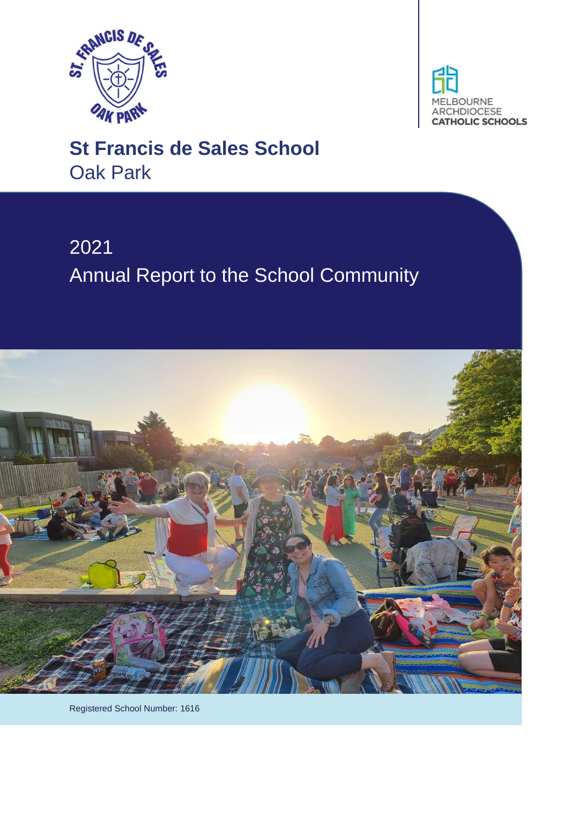



# **St Francis de Sales School** Oak Park

# 2021 Annual Report to the School Community



Registered School Number: 1616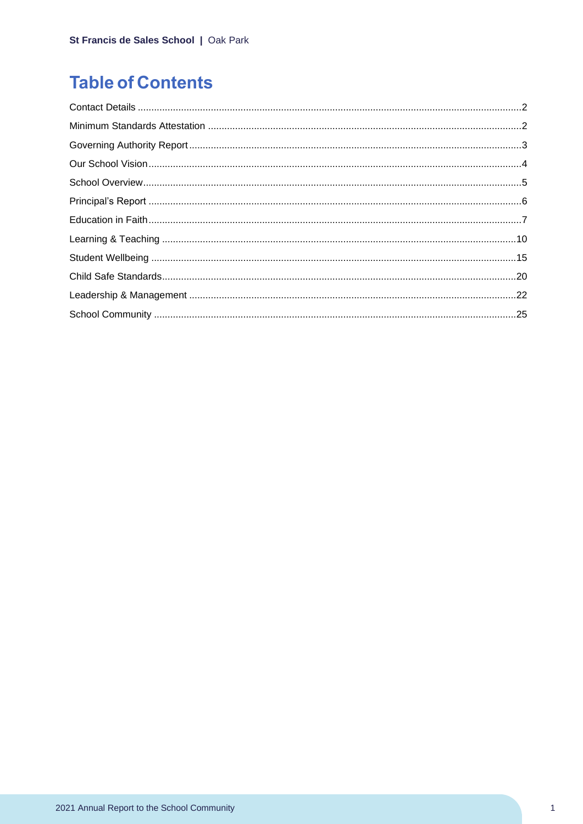## **Table of Contents**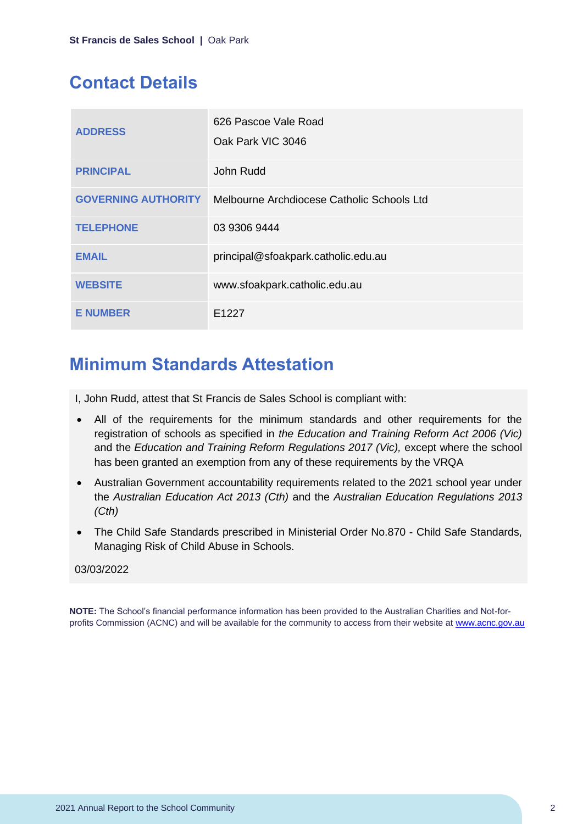## <span id="page-2-0"></span>**Contact Details**

| <b>ADDRESS</b>             | 626 Pascoe Vale Road<br>Oak Park VIC 3046  |
|----------------------------|--------------------------------------------|
| <b>PRINCIPAL</b>           | John Rudd                                  |
| <b>GOVERNING AUTHORITY</b> | Melbourne Archdiocese Catholic Schools Ltd |
| <b>TELEPHONE</b>           | 03 9306 9444                               |
| <b>EMAIL</b>               | principal@sfoakpark.catholic.edu.au        |
| <b>WEBSITE</b>             | www.sfoakpark.catholic.edu.au              |
| <b>E NUMBER</b>            | F <sub>1227</sub>                          |

## <span id="page-2-1"></span>**Minimum Standards Attestation**

I, John Rudd, attest that St Francis de Sales School is compliant with:

- All of the requirements for the minimum standards and other requirements for the registration of schools as specified in *the Education and Training Reform Act 2006 (Vic)* and the *Education and Training Reform Regulations 2017 (Vic),* except where the school has been granted an exemption from any of these requirements by the VRQA
- Australian Government accountability requirements related to the 2021 school year under the *Australian Education Act 2013 (Cth)* and the *Australian Education Regulations 2013 (Cth)*
- The Child Safe Standards prescribed in Ministerial Order No.870 Child Safe Standards, Managing Risk of Child Abuse in Schools.

## 03/03/2022

**NOTE:** The School's financial performance information has been provided to the Australian Charities and Not-forprofits Commission (ACNC) and will be available for the community to access from their website at [www.acnc.gov.au](http://www.acnc.gov.au/)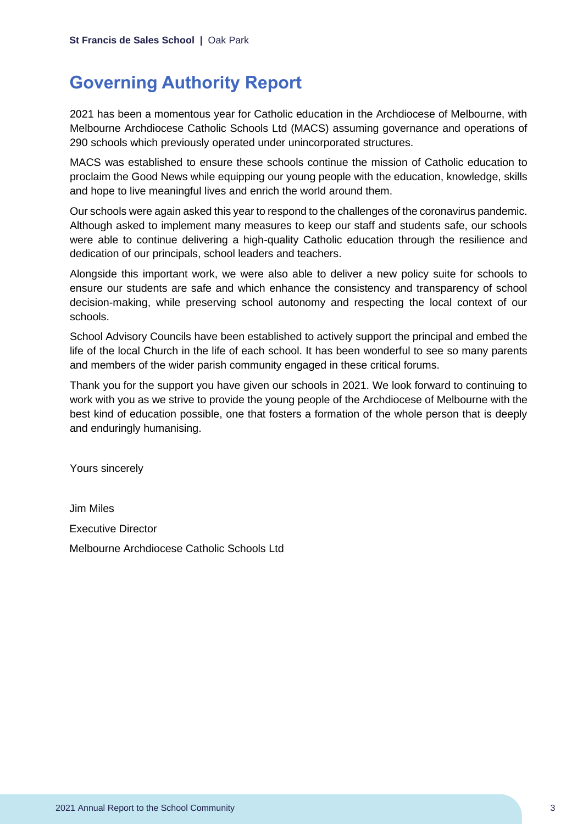## <span id="page-3-0"></span>**Governing Authority Report**

2021 has been a momentous year for Catholic education in the Archdiocese of Melbourne, with Melbourne Archdiocese Catholic Schools Ltd (MACS) assuming governance and operations of 290 schools which previously operated under unincorporated structures.

MACS was established to ensure these schools continue the mission of Catholic education to proclaim the Good News while equipping our young people with the education, knowledge, skills and hope to live meaningful lives and enrich the world around them.

Our schools were again asked this year to respond to the challenges of the coronavirus pandemic. Although asked to implement many measures to keep our staff and students safe, our schools were able to continue delivering a high-quality Catholic education through the resilience and dedication of our principals, school leaders and teachers.

Alongside this important work, we were also able to deliver a new policy suite for schools to ensure our students are safe and which enhance the consistency and transparency of school decision-making, while preserving school autonomy and respecting the local context of our schools.

School Advisory Councils have been established to actively support the principal and embed the life of the local Church in the life of each school. It has been wonderful to see so many parents and members of the wider parish community engaged in these critical forums.

Thank you for the support you have given our schools in 2021. We look forward to continuing to work with you as we strive to provide the young people of the Archdiocese of Melbourne with the best kind of education possible, one that fosters a formation of the whole person that is deeply and enduringly humanising.

Yours sincerely

Jim Miles Executive Director Melbourne Archdiocese Catholic Schools Ltd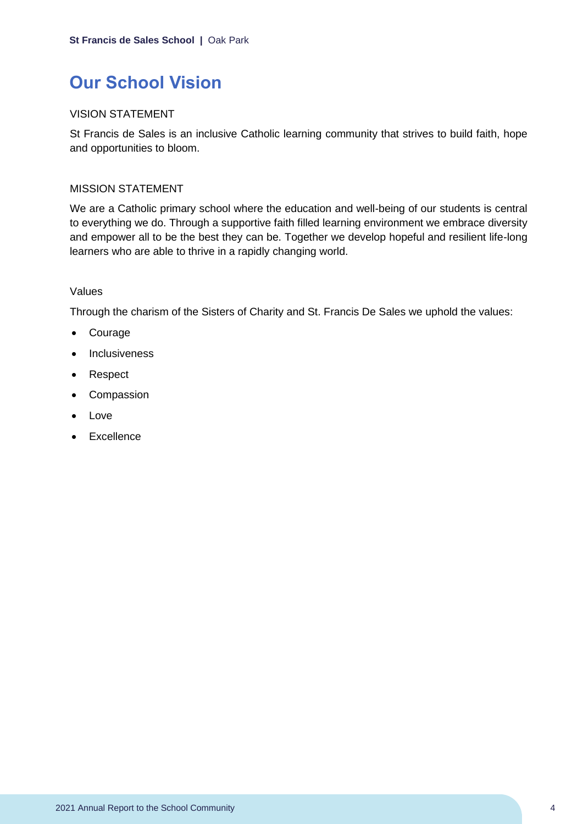## <span id="page-4-0"></span>**Our School Vision**

## VISION STATEMENT

St Francis de Sales is an inclusive Catholic learning community that strives to build faith, hope and opportunities to bloom.

### MISSION STATEMENT

We are a Catholic primary school where the education and well-being of our students is central to everything we do. Through a supportive faith filled learning environment we embrace diversity and empower all to be the best they can be. Together we develop hopeful and resilient life-long learners who are able to thrive in a rapidly changing world.

#### Values

Through the charism of the Sisters of Charity and St. Francis De Sales we uphold the values:

- Courage
- Inclusiveness
- Respect
- Compassion
- Love
- Excellence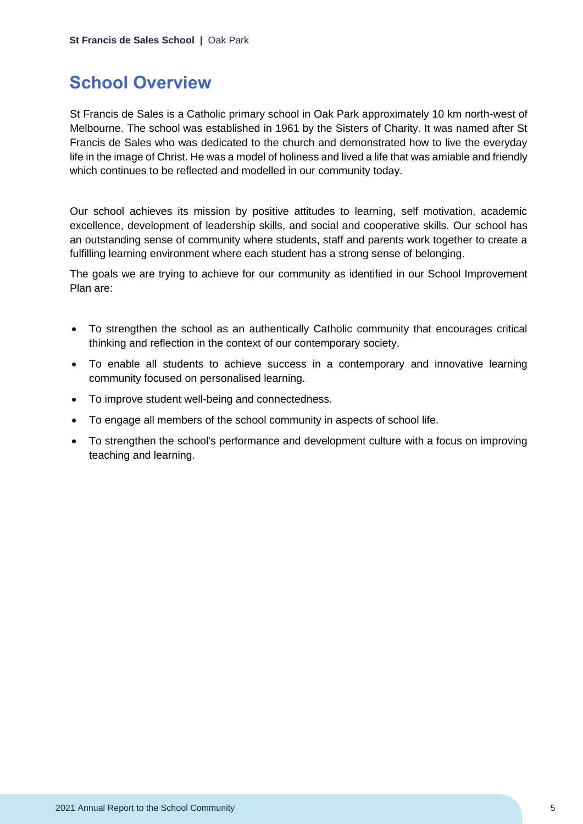## <span id="page-5-0"></span>**School Overview**

St Francis de Sales is a Catholic primary school in Oak Park approximately 10 km north-west of Melbourne. The school was established in 1961 by the Sisters of Charity. It was named after St Francis de Sales who was dedicated to the church and demonstrated how to live the everyday life in the image of Christ. He was a model of holiness and lived a life that was amiable and friendly which continues to be reflected and modelled in our community today.

Our school achieves its mission by positive attitudes to learning, self motivation, academic excellence, development of leadership skills, and social and cooperative skills. Our school has an outstanding sense of community where students, staff and parents work together to create a fulfilling learning environment where each student has a strong sense of belonging.

The goals we are trying to achieve for our community as identified in our School Improvement Plan are:

- To strengthen the school as an authentically Catholic community that encourages critical thinking and reflection in the context of our contemporary society.
- To enable all students to achieve success in a contemporary and innovative learning community focused on personalised learning.
- To improve student well-being and connectedness.
- To engage all members of the school community in aspects of school life.
- To strengthen the school's performance and development culture with a focus on improving teaching and learning.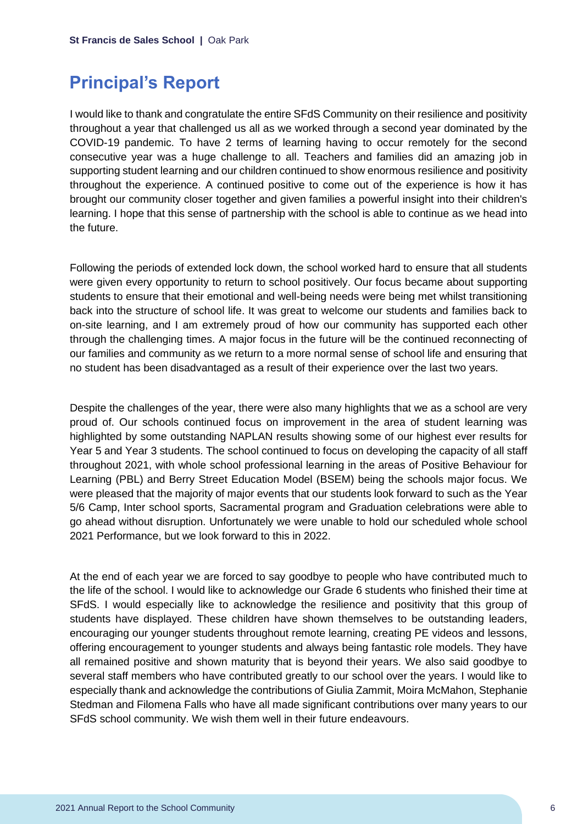## <span id="page-6-0"></span>**Principal's Report**

I would like to thank and congratulate the entire SFdS Community on their resilience and positivity throughout a year that challenged us all as we worked through a second year dominated by the COVID-19 pandemic. To have 2 terms of learning having to occur remotely for the second consecutive year was a huge challenge to all. Teachers and families did an amazing job in supporting student learning and our children continued to show enormous resilience and positivity throughout the experience. A continued positive to come out of the experience is how it has brought our community closer together and given families a powerful insight into their children's learning. I hope that this sense of partnership with the school is able to continue as we head into the future.

Following the periods of extended lock down, the school worked hard to ensure that all students were given every opportunity to return to school positively. Our focus became about supporting students to ensure that their emotional and well-being needs were being met whilst transitioning back into the structure of school life. It was great to welcome our students and families back to on-site learning, and I am extremely proud of how our community has supported each other through the challenging times. A major focus in the future will be the continued reconnecting of our families and community as we return to a more normal sense of school life and ensuring that no student has been disadvantaged as a result of their experience over the last two years.

Despite the challenges of the year, there were also many highlights that we as a school are very proud of. Our schools continued focus on improvement in the area of student learning was highlighted by some outstanding NAPLAN results showing some of our highest ever results for Year 5 and Year 3 students. The school continued to focus on developing the capacity of all staff throughout 2021, with whole school professional learning in the areas of Positive Behaviour for Learning (PBL) and Berry Street Education Model (BSEM) being the schools major focus. We were pleased that the majority of major events that our students look forward to such as the Year 5/6 Camp, Inter school sports, Sacramental program and Graduation celebrations were able to go ahead without disruption. Unfortunately we were unable to hold our scheduled whole school 2021 Performance, but we look forward to this in 2022.

At the end of each year we are forced to say goodbye to people who have contributed much to the life of the school. I would like to acknowledge our Grade 6 students who finished their time at SFdS. I would especially like to acknowledge the resilience and positivity that this group of students have displayed. These children have shown themselves to be outstanding leaders, encouraging our younger students throughout remote learning, creating PE videos and lessons, offering encouragement to younger students and always being fantastic role models. They have all remained positive and shown maturity that is beyond their years. We also said goodbye to several staff members who have contributed greatly to our school over the years. I would like to especially thank and acknowledge the contributions of Giulia Zammit, Moira McMahon, Stephanie Stedman and Filomena Falls who have all made significant contributions over many years to our SFdS school community. We wish them well in their future endeavours.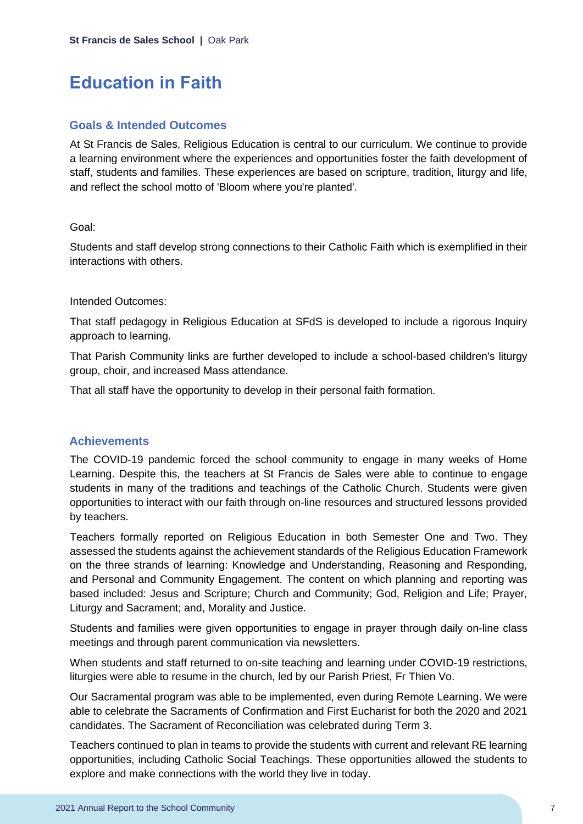## <span id="page-7-0"></span>**Education in Faith**

## **Goals & Intended Outcomes**

At St Francis de Sales, Religious Education is central to our curriculum. We continue to provide a learning environment where the experiences and opportunities foster the faith development of staff, students and families. These experiences are based on scripture, tradition, liturgy and life, and reflect the school motto of 'Bloom where you're planted'.

### Goal:

Students and staff develop strong connections to their Catholic Faith which is exemplified in their interactions with others.

### Intended Outcomes:

That staff pedagogy in Religious Education at SFdS is developed to include a rigorous Inquiry approach to learning.

That Parish Community links are further developed to include a school-based children's liturgy group, choir, and increased Mass attendance.

That all staff have the opportunity to develop in their personal faith formation.

## **Achievements**

The COVID-19 pandemic forced the school community to engage in many weeks of Home Learning. Despite this, the teachers at St Francis de Sales were able to continue to engage students in many of the traditions and teachings of the Catholic Church. Students were given opportunities to interact with our faith through on-line resources and structured lessons provided by teachers.

Teachers formally reported on Religious Education in both Semester One and Two. They assessed the students against the achievement standards of the Religious Education Framework on the three strands of learning: Knowledge and Understanding, Reasoning and Responding, and Personal and Community Engagement. The content on which planning and reporting was based included: Jesus and Scripture; Church and Community; God, Religion and Life; Prayer, Liturgy and Sacrament; and, Morality and Justice.

Students and families were given opportunities to engage in prayer through daily on-line class meetings and through parent communication via newsletters.

When students and staff returned to on-site teaching and learning under COVID-19 restrictions, liturgies were able to resume in the church, led by our Parish Priest, Fr Thien Vo.

Our Sacramental program was able to be implemented, even during Remote Learning. We were able to celebrate the Sacraments of Confirmation and First Eucharist for both the 2020 and 2021 candidates. The Sacrament of Reconciliation was celebrated during Term 3.

Teachers continued to plan in teams to provide the students with current and relevant RE learning opportunities, including Catholic Social Teachings. These opportunities allowed the students to explore and make connections with the world they live in today.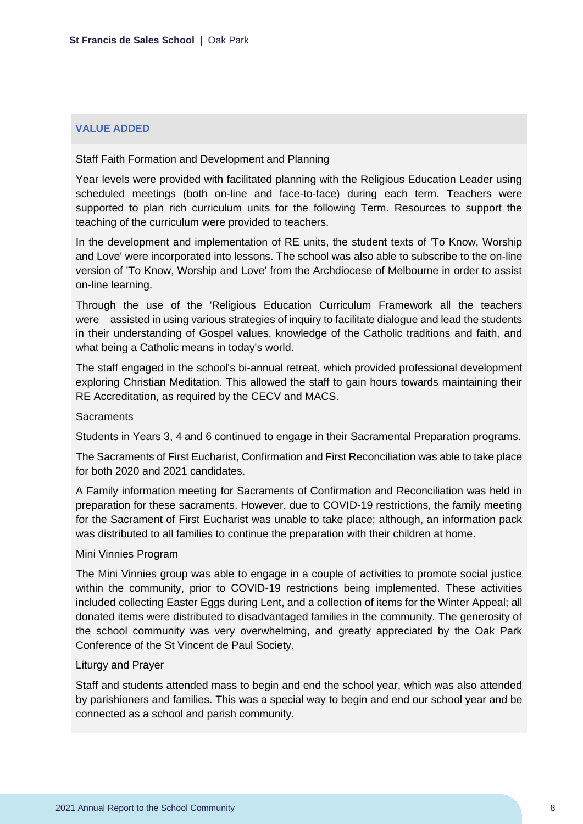### **VALUE ADDED**

Staff Faith Formation and Development and Planning

Year levels were provided with facilitated planning with the Religious Education Leader using scheduled meetings (both on-line and face-to-face) during each term. Teachers were supported to plan rich curriculum units for the following Term. Resources to support the teaching of the curriculum were provided to teachers.

In the development and implementation of RE units, the student texts of 'To Know, Worship and Love' were incorporated into lessons. The school was also able to subscribe to the on-line version of 'To Know, Worship and Love' from the Archdiocese of Melbourne in order to assist on-line learning.

Through the use of the 'Religious Education Curriculum Framework all the teachers were assisted in using various strategies of inquiry to facilitate dialogue and lead the students in their understanding of Gospel values, knowledge of the Catholic traditions and faith, and what being a Catholic means in today's world.

The staff engaged in the school's bi-annual retreat, which provided professional development exploring Christian Meditation. This allowed the staff to gain hours towards maintaining their RE Accreditation, as required by the CECV and MACS.

#### **Sacraments**

Students in Years 3, 4 and 6 continued to engage in their Sacramental Preparation programs.

The Sacraments of First Eucharist, Confirmation and First Reconciliation was able to take place for both 2020 and 2021 candidates.

A Family information meeting for Sacraments of Confirmation and Reconciliation was held in preparation for these sacraments. However, due to COVID-19 restrictions, the family meeting for the Sacrament of First Eucharist was unable to take place; although, an information pack was distributed to all families to continue the preparation with their children at home.

#### Mini Vinnies Program

The Mini Vinnies group was able to engage in a couple of activities to promote social justice within the community, prior to COVID-19 restrictions being implemented. These activities included collecting Easter Eggs during Lent, and a collection of items for the Winter Appeal; all donated items were distributed to disadvantaged families in the community. The generosity of the school community was very overwhelming, and greatly appreciated by the Oak Park Conference of the St Vincent de Paul Society.

#### Liturgy and Prayer

Staff and students attended mass to begin and end the school year, which was also attended by parishioners and families. This was a special way to begin and end our school year and be connected as a school and parish community.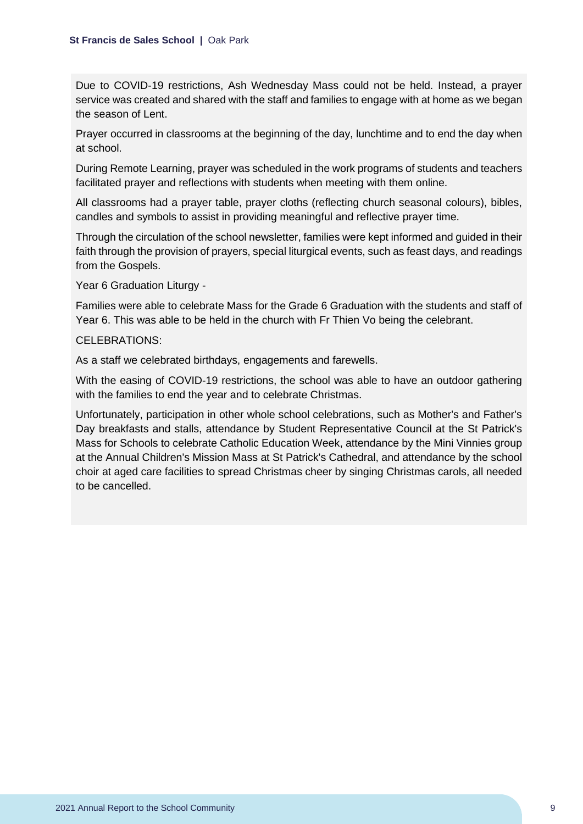Due to COVID-19 restrictions, Ash Wednesday Mass could not be held. Instead, a prayer service was created and shared with the staff and families to engage with at home as we began the season of Lent.

Prayer occurred in classrooms at the beginning of the day, lunchtime and to end the day when at school.

During Remote Learning, prayer was scheduled in the work programs of students and teachers facilitated prayer and reflections with students when meeting with them online.

All classrooms had a prayer table, prayer cloths (reflecting church seasonal colours), bibles, candles and symbols to assist in providing meaningful and reflective prayer time.

Through the circulation of the school newsletter, families were kept informed and guided in their faith through the provision of prayers, special liturgical events, such as feast days, and readings from the Gospels.

Year 6 Graduation Liturgy -

Families were able to celebrate Mass for the Grade 6 Graduation with the students and staff of Year 6. This was able to be held in the church with Fr Thien Vo being the celebrant.

### CELEBRATIONS:

As a staff we celebrated birthdays, engagements and farewells.

With the easing of COVID-19 restrictions, the school was able to have an outdoor gathering with the families to end the year and to celebrate Christmas.

Unfortunately, participation in other whole school celebrations, such as Mother's and Father's Day breakfasts and stalls, attendance by Student Representative Council at the St Patrick's Mass for Schools to celebrate Catholic Education Week, attendance by the Mini Vinnies group at the Annual Children's Mission Mass at St Patrick's Cathedral, and attendance by the school choir at aged care facilities to spread Christmas cheer by singing Christmas carols, all needed to be cancelled.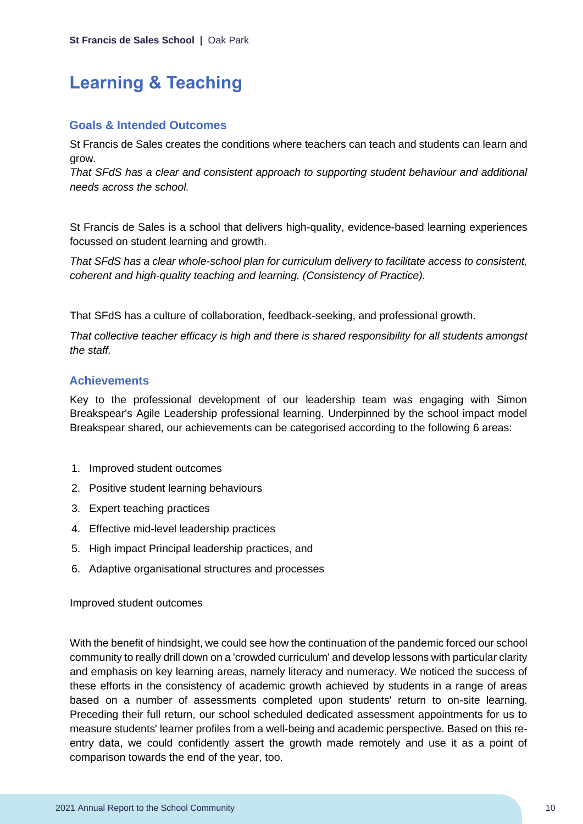## <span id="page-10-0"></span>**Learning & Teaching**

## **Goals & Intended Outcomes**

St Francis de Sales creates the conditions where teachers can teach and students can learn and grow.

*That SFdS has a clear and consistent approach to supporting student behaviour and additional needs across the school.*

St Francis de Sales is a school that delivers high-quality, evidence-based learning experiences focussed on student learning and growth.

*That SFdS has a clear whole-school plan for curriculum delivery to facilitate access to consistent, coherent and high-quality teaching and learning. (Consistency of Practice).*

That SFdS has a culture of collaboration, feedback-seeking, and professional growth.

*That collective teacher efficacy is high and there is shared responsibility for all students amongst the staff.*

## **Achievements**

Key to the professional development of our leadership team was engaging with Simon Breakspear's Agile Leadership professional learning. Underpinned by the school impact model Breakspear shared, our achievements can be categorised according to the following 6 areas:

- 1. Improved student outcomes
- 2. Positive student learning behaviours
- 3. Expert teaching practices
- 4. Effective mid-level leadership practices
- 5. High impact Principal leadership practices, and
- 6. Adaptive organisational structures and processes

Improved student outcomes

With the benefit of hindsight, we could see how the continuation of the pandemic forced our school community to really drill down on a 'crowded curriculum' and develop lessons with particular clarity and emphasis on key learning areas, namely literacy and numeracy. We noticed the success of these efforts in the consistency of academic growth achieved by students in a range of areas based on a number of assessments completed upon students' return to on-site learning. Preceding their full return, our school scheduled dedicated assessment appointments for us to measure students' learner profiles from a well-being and academic perspective. Based on this reentry data, we could confidently assert the growth made remotely and use it as a point of comparison towards the end of the year, too.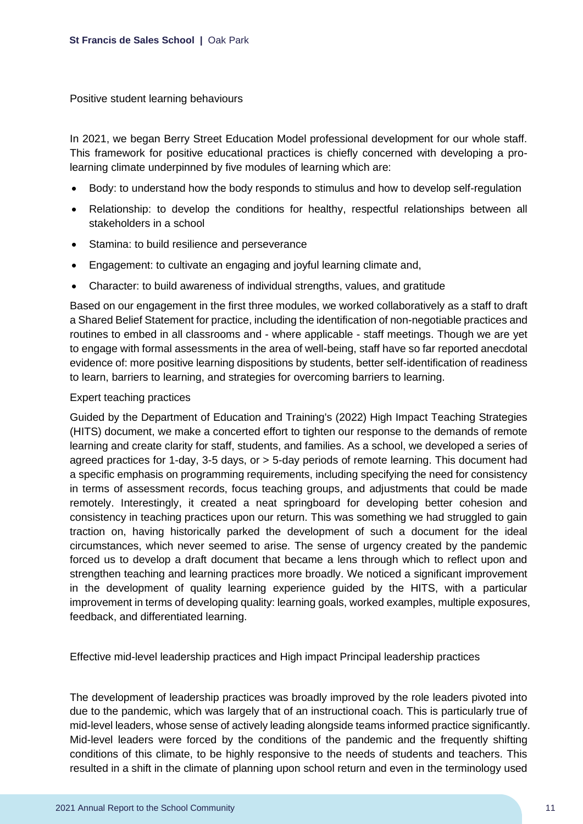Positive student learning behaviours

In 2021, we began Berry Street Education Model professional development for our whole staff. This framework for positive educational practices is chiefly concerned with developing a prolearning climate underpinned by five modules of learning which are:

- Body: to understand how the body responds to stimulus and how to develop self-regulation
- Relationship: to develop the conditions for healthy, respectful relationships between all stakeholders in a school
- Stamina: to build resilience and perseverance
- Engagement: to cultivate an engaging and joyful learning climate and,
- Character: to build awareness of individual strengths, values, and gratitude

Based on our engagement in the first three modules, we worked collaboratively as a staff to draft a Shared Belief Statement for practice, including the identification of non-negotiable practices and routines to embed in all classrooms and - where applicable - staff meetings. Though we are yet to engage with formal assessments in the area of well-being, staff have so far reported anecdotal evidence of: more positive learning dispositions by students, better self-identification of readiness to learn, barriers to learning, and strategies for overcoming barriers to learning.

### Expert teaching practices

Guided by the Department of Education and Training's (2022) High Impact Teaching Strategies (HITS) document, we make a concerted effort to tighten our response to the demands of remote learning and create clarity for staff, students, and families. As a school, we developed a series of agreed practices for 1-day, 3-5 days, or > 5-day periods of remote learning. This document had a specific emphasis on programming requirements, including specifying the need for consistency in terms of assessment records, focus teaching groups, and adjustments that could be made remotely. Interestingly, it created a neat springboard for developing better cohesion and consistency in teaching practices upon our return. This was something we had struggled to gain traction on, having historically parked the development of such a document for the ideal circumstances, which never seemed to arise. The sense of urgency created by the pandemic forced us to develop a draft document that became a lens through which to reflect upon and strengthen teaching and learning practices more broadly. We noticed a significant improvement in the development of quality learning experience guided by the HITS, with a particular improvement in terms of developing quality: learning goals, worked examples, multiple exposures, feedback, and differentiated learning.

Effective mid-level leadership practices and High impact Principal leadership practices

The development of leadership practices was broadly improved by the role leaders pivoted into due to the pandemic, which was largely that of an instructional coach. This is particularly true of mid-level leaders, whose sense of actively leading alongside teams informed practice significantly. Mid-level leaders were forced by the conditions of the pandemic and the frequently shifting conditions of this climate, to be highly responsive to the needs of students and teachers. This resulted in a shift in the climate of planning upon school return and even in the terminology used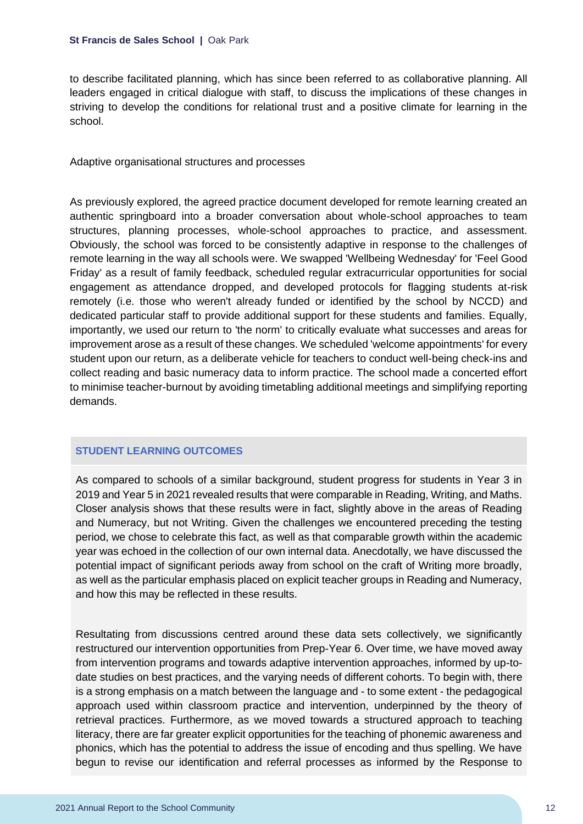to describe facilitated planning, which has since been referred to as collaborative planning. All leaders engaged in critical dialogue with staff, to discuss the implications of these changes in striving to develop the conditions for relational trust and a positive climate for learning in the school.

Adaptive organisational structures and processes

As previously explored, the agreed practice document developed for remote learning created an authentic springboard into a broader conversation about whole-school approaches to team structures, planning processes, whole-school approaches to practice, and assessment. Obviously, the school was forced to be consistently adaptive in response to the challenges of remote learning in the way all schools were. We swapped 'Wellbeing Wednesday' for 'Feel Good Friday' as a result of family feedback, scheduled regular extracurricular opportunities for social engagement as attendance dropped, and developed protocols for flagging students at-risk remotely (i.e. those who weren't already funded or identified by the school by NCCD) and dedicated particular staff to provide additional support for these students and families. Equally, importantly, we used our return to 'the norm' to critically evaluate what successes and areas for improvement arose as a result of these changes. We scheduled 'welcome appointments' for every student upon our return, as a deliberate vehicle for teachers to conduct well-being check-ins and collect reading and basic numeracy data to inform practice. The school made a concerted effort to minimise teacher-burnout by avoiding timetabling additional meetings and simplifying reporting demands.

## **STUDENT LEARNING OUTCOMES**

As compared to schools of a similar background, student progress for students in Year 3 in 2019 and Year 5 in 2021 revealed results that were comparable in Reading, Writing, and Maths. Closer analysis shows that these results were in fact, slightly above in the areas of Reading and Numeracy, but not Writing. Given the challenges we encountered preceding the testing period, we chose to celebrate this fact, as well as that comparable growth within the academic year was echoed in the collection of our own internal data. Anecdotally, we have discussed the potential impact of significant periods away from school on the craft of Writing more broadly, as well as the particular emphasis placed on explicit teacher groups in Reading and Numeracy, and how this may be reflected in these results.

Resultating from discussions centred around these data sets collectively, we significantly restructured our intervention opportunities from Prep-Year 6. Over time, we have moved away from intervention programs and towards adaptive intervention approaches, informed by up-todate studies on best practices, and the varying needs of different cohorts. To begin with, there is a strong emphasis on a match between the language and - to some extent - the pedagogical approach used within classroom practice and intervention, underpinned by the theory of retrieval practices. Furthermore, as we moved towards a structured approach to teaching literacy, there are far greater explicit opportunities for the teaching of phonemic awareness and phonics, which has the potential to address the issue of encoding and thus spelling. We have begun to revise our identification and referral processes as informed by the Response to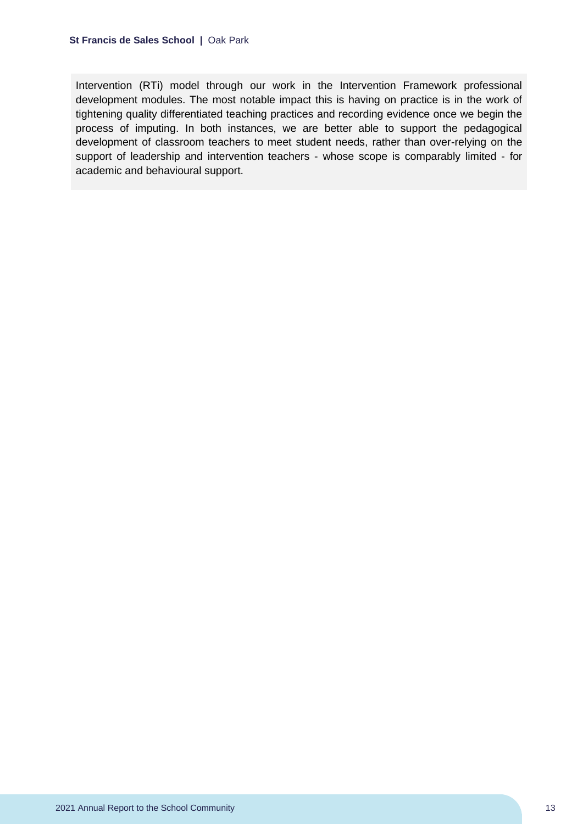Intervention (RTi) model through our work in the Intervention Framework professional development modules. The most notable impact this is having on practice is in the work of tightening quality differentiated teaching practices and recording evidence once we begin the process of imputing. In both instances, we are better able to support the pedagogical development of classroom teachers to meet student needs, rather than over-relying on the support of leadership and intervention teachers - whose scope is comparably limited - for academic and behavioural support.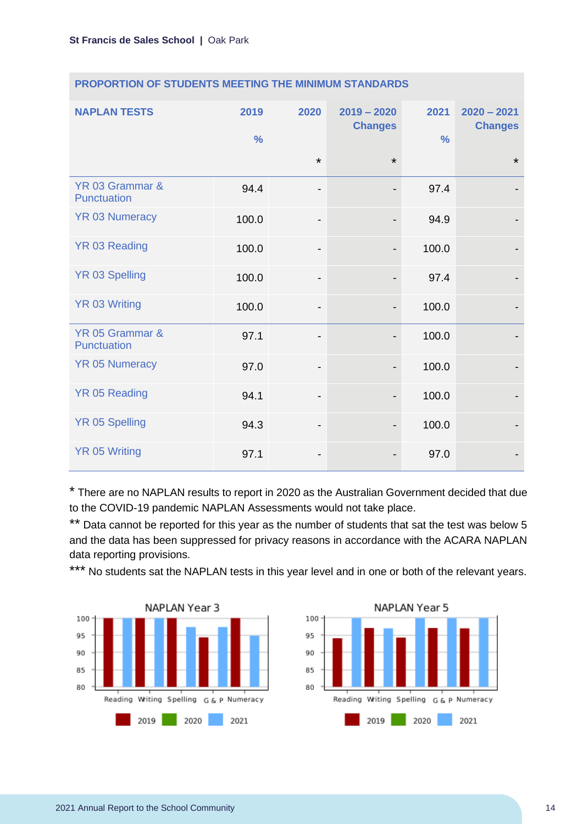| <b>NAPLAN TESTS</b>            | 2019<br>$\frac{0}{0}$ | 2020                         | $2019 - 2020$<br><b>Changes</b> | 2021<br>$\frac{0}{0}$ | $2020 - 2021$<br><b>Changes</b> |
|--------------------------------|-----------------------|------------------------------|---------------------------------|-----------------------|---------------------------------|
|                                |                       | $\star$                      | $\star$                         |                       | $\star$                         |
| YR 03 Grammar &<br>Punctuation | 94.4                  | -                            |                                 | 97.4                  |                                 |
| <b>YR 03 Numeracy</b>          | 100.0                 | $\qquad \qquad \blacksquare$ |                                 | 94.9                  |                                 |
| YR 03 Reading                  | 100.0                 | $\qquad \qquad \blacksquare$ | $\overline{\phantom{0}}$        | 100.0                 |                                 |
| <b>YR 03 Spelling</b>          | 100.0                 | $\qquad \qquad \blacksquare$ |                                 | 97.4                  |                                 |
| <b>YR 03 Writing</b>           | 100.0                 | $\qquad \qquad \blacksquare$ |                                 | 100.0                 |                                 |
| YR 05 Grammar &<br>Punctuation | 97.1                  | -                            |                                 | 100.0                 |                                 |
| <b>YR 05 Numeracy</b>          | 97.0                  | $\qquad \qquad \blacksquare$ |                                 | 100.0                 |                                 |
| <b>YR 05 Reading</b>           | 94.1                  | $\qquad \qquad \blacksquare$ |                                 | 100.0                 |                                 |
| <b>YR 05 Spelling</b>          | 94.3                  | -                            |                                 | 100.0                 |                                 |
| <b>YR 05 Writing</b>           | 97.1                  |                              |                                 | 97.0                  |                                 |

### **PROPORTION OF STUDENTS MEETING THE MINIMUM STANDARDS**

\* There are no NAPLAN results to report in 2020 as the Australian Government decided that due to the COVID-19 pandemic NAPLAN Assessments would not take place.

\*\* Data cannot be reported for this year as the number of students that sat the test was below 5 and the data has been suppressed for privacy reasons in accordance with the ACARA NAPLAN data reporting provisions.

\*\*\* No students sat the NAPLAN tests in this year level and in one or both of the relevant years.



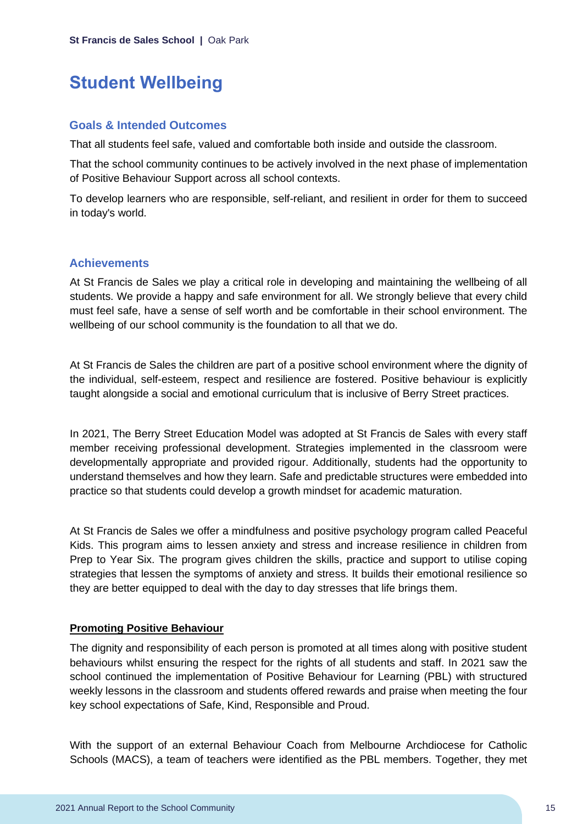## <span id="page-15-0"></span>**Student Wellbeing**

## **Goals & Intended Outcomes**

That all students feel safe, valued and comfortable both inside and outside the classroom.

That the school community continues to be actively involved in the next phase of implementation of Positive Behaviour Support across all school contexts.

To develop learners who are responsible, self-reliant, and resilient in order for them to succeed in today's world.

## **Achievements**

At St Francis de Sales we play a critical role in developing and maintaining the wellbeing of all students. We provide a happy and safe environment for all. We strongly believe that every child must feel safe, have a sense of self worth and be comfortable in their school environment. The wellbeing of our school community is the foundation to all that we do.

At St Francis de Sales the children are part of a positive school environment where the dignity of the individual, self-esteem, respect and resilience are fostered. Positive behaviour is explicitly taught alongside a social and emotional curriculum that is inclusive of Berry Street practices.

In 2021, The Berry Street Education Model was adopted at St Francis de Sales with every staff member receiving professional development. Strategies implemented in the classroom were developmentally appropriate and provided rigour. Additionally, students had the opportunity to understand themselves and how they learn. Safe and predictable structures were embedded into practice so that students could develop a growth mindset for academic maturation.

At St Francis de Sales we offer a mindfulness and positive psychology program called Peaceful Kids. This program aims to lessen anxiety and stress and increase resilience in children from Prep to Year Six. The program gives children the skills, practice and support to utilise coping strategies that lessen the symptoms of anxiety and stress. It builds their emotional resilience so they are better equipped to deal with the day to day stresses that life brings them.

## **Promoting Positive Behaviour**

The dignity and responsibility of each person is promoted at all times along with positive student behaviours whilst ensuring the respect for the rights of all students and staff. In 2021 saw the school continued the implementation of Positive Behaviour for Learning (PBL) with structured weekly lessons in the classroom and students offered rewards and praise when meeting the four key school expectations of Safe, Kind, Responsible and Proud.

With the support of an external Behaviour Coach from Melbourne Archdiocese for Catholic Schools (MACS), a team of teachers were identified as the PBL members. Together, they met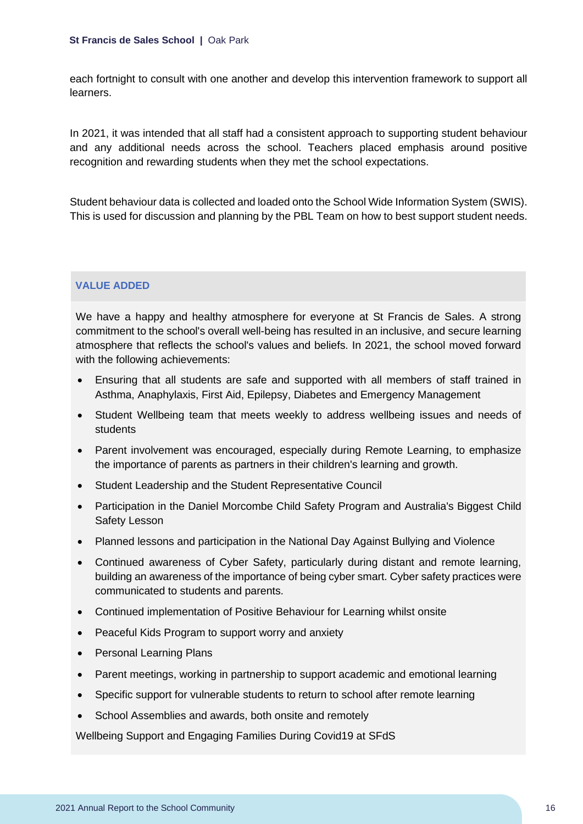each fortnight to consult with one another and develop this intervention framework to support all learners.

In 2021, it was intended that all staff had a consistent approach to supporting student behaviour and any additional needs across the school. Teachers placed emphasis around positive recognition and rewarding students when they met the school expectations.

Student behaviour data is collected and loaded onto the School Wide Information System (SWIS). This is used for discussion and planning by the PBL Team on how to best support student needs.

## **VALUE ADDED**

We have a happy and healthy atmosphere for everyone at St Francis de Sales. A strong commitment to the school's overall well-being has resulted in an inclusive, and secure learning atmosphere that reflects the school's values and beliefs. In 2021, the school moved forward with the following achievements:

- Ensuring that all students are safe and supported with all members of staff trained in Asthma, Anaphylaxis, First Aid, Epilepsy, Diabetes and Emergency Management
- Student Wellbeing team that meets weekly to address wellbeing issues and needs of students
- Parent involvement was encouraged, especially during Remote Learning, to emphasize the importance of parents as partners in their children's learning and growth.
- Student Leadership and the Student Representative Council
- Participation in the Daniel Morcombe Child Safety Program and Australia's Biggest Child Safety Lesson
- Planned lessons and participation in the National Day Against Bullying and Violence
- Continued awareness of Cyber Safety, particularly during distant and remote learning, building an awareness of the importance of being cyber smart. Cyber safety practices were communicated to students and parents.
- Continued implementation of Positive Behaviour for Learning whilst onsite
- Peaceful Kids Program to support worry and anxiety
- Personal Learning Plans
- Parent meetings, working in partnership to support academic and emotional learning
- Specific support for vulnerable students to return to school after remote learning
- School Assemblies and awards, both onsite and remotely

Wellbeing Support and Engaging Families During Covid19 at SFdS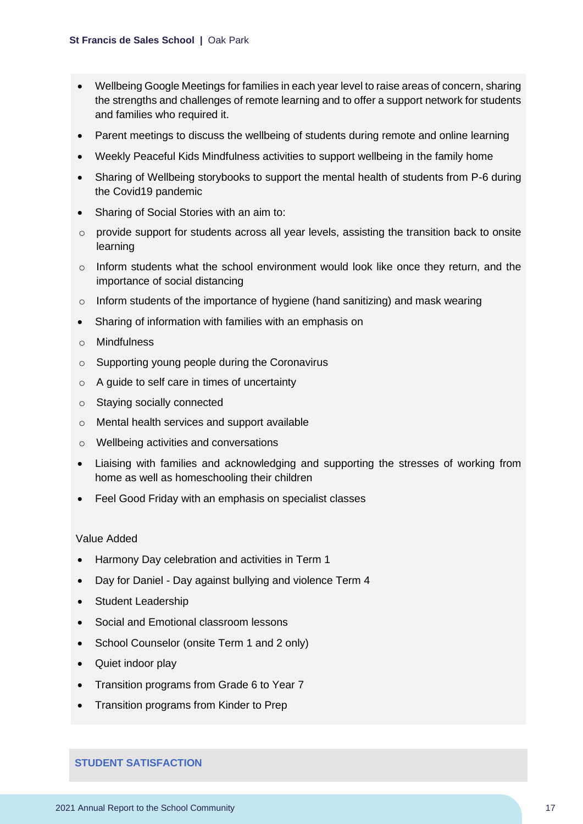- Wellbeing Google Meetings for families in each year level to raise areas of concern, sharing the strengths and challenges of remote learning and to offer a support network for students and families who required it.
- Parent meetings to discuss the wellbeing of students during remote and online learning
- Weekly Peaceful Kids Mindfulness activities to support wellbeing in the family home
- Sharing of Wellbeing storybooks to support the mental health of students from P-6 during the Covid19 pandemic
- Sharing of Social Stories with an aim to:
- $\circ$  provide support for students across all year levels, assisting the transition back to onsite learning
- o Inform students what the school environment would look like once they return, and the importance of social distancing
- o Inform students of the importance of hygiene (hand sanitizing) and mask wearing
- Sharing of information with families with an emphasis on
- o Mindfulness
- o Supporting young people during the Coronavirus
- o A guide to self care in times of uncertainty
- o Staying socially connected
- o Mental health services and support available
- o Wellbeing activities and conversations
- Liaising with families and acknowledging and supporting the stresses of working from home as well as homeschooling their children
- Feel Good Friday with an emphasis on specialist classes

#### Value Added

- Harmony Day celebration and activities in Term 1
- Day for Daniel Day against bullying and violence Term 4
- Student Leadership
- Social and Emotional classroom lessons
- School Counselor (onsite Term 1 and 2 only)
- Quiet indoor play
- Transition programs from Grade 6 to Year 7
- Transition programs from Kinder to Prep

## **STUDENT SATISFACTION**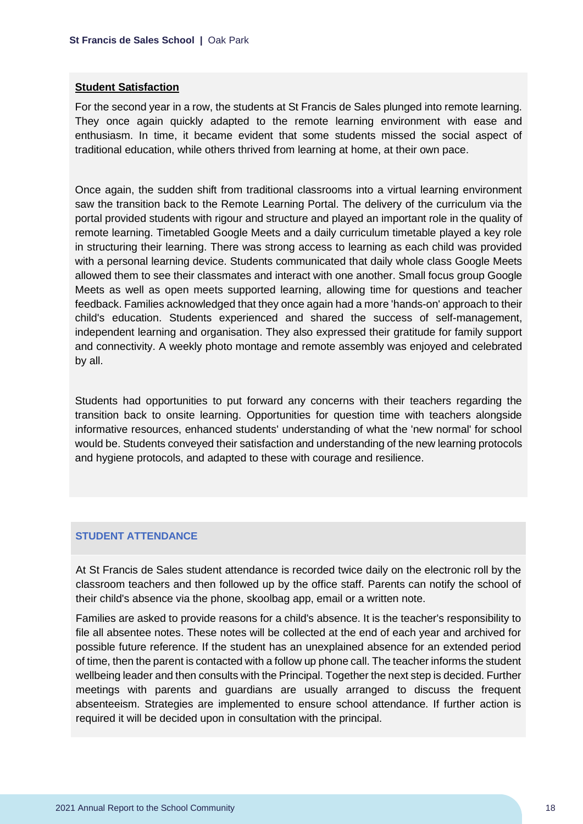#### **Student Satisfaction**

For the second year in a row, the students at St Francis de Sales plunged into remote learning. They once again quickly adapted to the remote learning environment with ease and enthusiasm. In time, it became evident that some students missed the social aspect of traditional education, while others thrived from learning at home, at their own pace.

Once again, the sudden shift from traditional classrooms into a virtual learning environment saw the transition back to the Remote Learning Portal. The delivery of the curriculum via the portal provided students with rigour and structure and played an important role in the quality of remote learning. Timetabled Google Meets and a daily curriculum timetable played a key role in structuring their learning. There was strong access to learning as each child was provided with a personal learning device. Students communicated that daily whole class Google Meets allowed them to see their classmates and interact with one another. Small focus group Google Meets as well as open meets supported learning, allowing time for questions and teacher feedback. Families acknowledged that they once again had a more 'hands-on' approach to their child's education. Students experienced and shared the success of self-management, independent learning and organisation. They also expressed their gratitude for family support and connectivity. A weekly photo montage and remote assembly was enjoyed and celebrated by all.

Students had opportunities to put forward any concerns with their teachers regarding the transition back to onsite learning. Opportunities for question time with teachers alongside informative resources, enhanced students' understanding of what the 'new normal' for school would be. Students conveyed their satisfaction and understanding of the new learning protocols and hygiene protocols, and adapted to these with courage and resilience.

#### **STUDENT ATTENDANCE**

At St Francis de Sales student attendance is recorded twice daily on the electronic roll by the classroom teachers and then followed up by the office staff. Parents can notify the school of their child's absence via the phone, skoolbag app, email or a written note.

Families are asked to provide reasons for a child's absence. It is the teacher's responsibility to file all absentee notes. These notes will be collected at the end of each year and archived for possible future reference. If the student has an unexplained absence for an extended period of time, then the parent is contacted with a follow up phone call. The teacher informs the student wellbeing leader and then consults with the Principal. Together the next step is decided. Further meetings with parents and guardians are usually arranged to discuss the frequent absenteeism. Strategies are implemented to ensure school attendance. If further action is required it will be decided upon in consultation with the principal.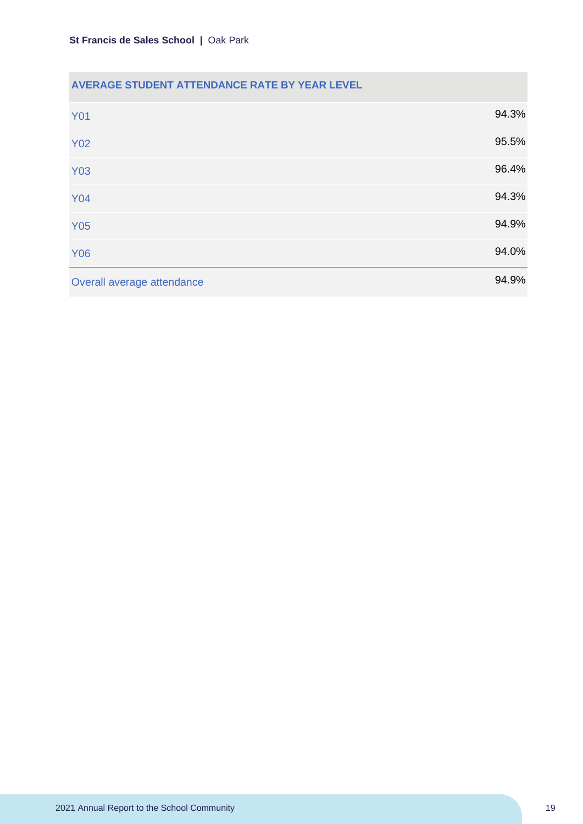## **AVERAGE STUDENT ATTENDANCE RATE BY YEAR LEVEL**

| <b>Y01</b>                 | 94.3% |
|----------------------------|-------|
| <b>Y02</b>                 | 95.5% |
| <b>Y03</b>                 | 96.4% |
| <b>Y04</b>                 | 94.3% |
| <b>Y05</b>                 | 94.9% |
| <b>Y06</b>                 | 94.0% |
| Overall average attendance | 94.9% |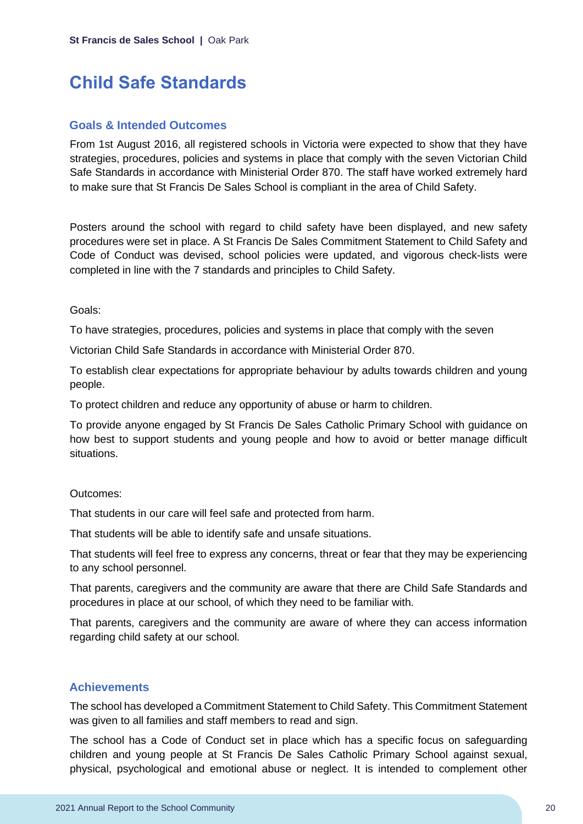## <span id="page-20-0"></span>**Child Safe Standards**

### **Goals & Intended Outcomes**

From 1st August 2016, all registered schools in Victoria were expected to show that they have strategies, procedures, policies and systems in place that comply with the seven Victorian Child Safe Standards in accordance with Ministerial Order 870. The staff have worked extremely hard to make sure that St Francis De Sales School is compliant in the area of Child Safety.

Posters around the school with regard to child safety have been displayed, and new safety procedures were set in place. A St Francis De Sales Commitment Statement to Child Safety and Code of Conduct was devised, school policies were updated, and vigorous check-lists were completed in line with the 7 standards and principles to Child Safety.

#### Goals:

To have strategies, procedures, policies and systems in place that comply with the seven

Victorian Child Safe Standards in accordance with Ministerial Order 870.

To establish clear expectations for appropriate behaviour by adults towards children and young people.

To protect children and reduce any opportunity of abuse or harm to children.

To provide anyone engaged by St Francis De Sales Catholic Primary School with guidance on how best to support students and young people and how to avoid or better manage difficult situations.

#### Outcomes:

That students in our care will feel safe and protected from harm.

That students will be able to identify safe and unsafe situations.

That students will feel free to express any concerns, threat or fear that they may be experiencing to any school personnel.

That parents, caregivers and the community are aware that there are Child Safe Standards and procedures in place at our school, of which they need to be familiar with.

That parents, caregivers and the community are aware of where they can access information regarding child safety at our school.

### **Achievements**

The school has developed a Commitment Statement to Child Safety. This Commitment Statement was given to all families and staff members to read and sign.

The school has a Code of Conduct set in place which has a specific focus on safeguarding children and young people at St Francis De Sales Catholic Primary School against sexual, physical, psychological and emotional abuse or neglect. It is intended to complement other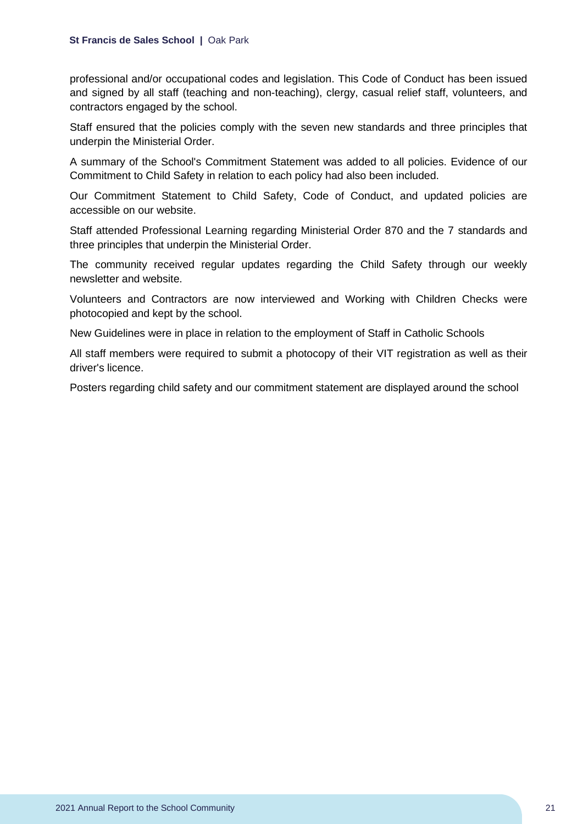professional and/or occupational codes and legislation. This Code of Conduct has been issued and signed by all staff (teaching and non-teaching), clergy, casual relief staff, volunteers, and contractors engaged by the school.

Staff ensured that the policies comply with the seven new standards and three principles that underpin the Ministerial Order.

A summary of the School's Commitment Statement was added to all policies. Evidence of our Commitment to Child Safety in relation to each policy had also been included.

Our Commitment Statement to Child Safety, Code of Conduct, and updated policies are accessible on our website.

Staff attended Professional Learning regarding Ministerial Order 870 and the 7 standards and three principles that underpin the Ministerial Order.

The community received regular updates regarding the Child Safety through our weekly newsletter and website.

Volunteers and Contractors are now interviewed and Working with Children Checks were photocopied and kept by the school.

New Guidelines were in place in relation to the employment of Staff in Catholic Schools

All staff members were required to submit a photocopy of their VIT registration as well as their driver's licence.

Posters regarding child safety and our commitment statement are displayed around the school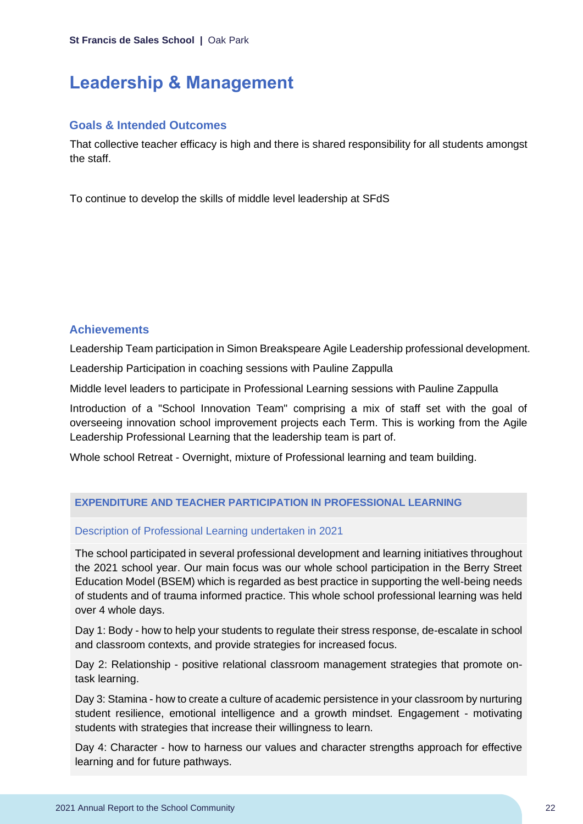## <span id="page-22-0"></span>**Leadership & Management**

## **Goals & Intended Outcomes**

That collective teacher efficacy is high and there is shared responsibility for all students amongst the staff.

To continue to develop the skills of middle level leadership at SFdS

## **Achievements**

Leadership Team participation in Simon Breakspeare Agile Leadership professional development.

Leadership Participation in coaching sessions with Pauline Zappulla

Middle level leaders to participate in Professional Learning sessions with Pauline Zappulla

Introduction of a "School Innovation Team" comprising a mix of staff set with the goal of overseeing innovation school improvement projects each Term. This is working from the Agile Leadership Professional Learning that the leadership team is part of.

Whole school Retreat - Overnight, mixture of Professional learning and team building.

## **EXPENDITURE AND TEACHER PARTICIPATION IN PROFESSIONAL LEARNING**

## Description of Professional Learning undertaken in 2021

The school participated in several professional development and learning initiatives throughout the 2021 school year. Our main focus was our whole school participation in the Berry Street Education Model (BSEM) which is regarded as best practice in supporting the well-being needs of students and of trauma informed practice. This whole school professional learning was held over 4 whole days.

Day 1: Body - how to help your students to regulate their stress response, de-escalate in school and classroom contexts, and provide strategies for increased focus.

Day 2: Relationship - positive relational classroom management strategies that promote ontask learning.

Day 3: Stamina - how to create a culture of academic persistence in your classroom by nurturing student resilience, emotional intelligence and a growth mindset. Engagement - motivating students with strategies that increase their willingness to learn.

Day 4: Character - how to harness our values and character strengths approach for effective learning and for future pathways.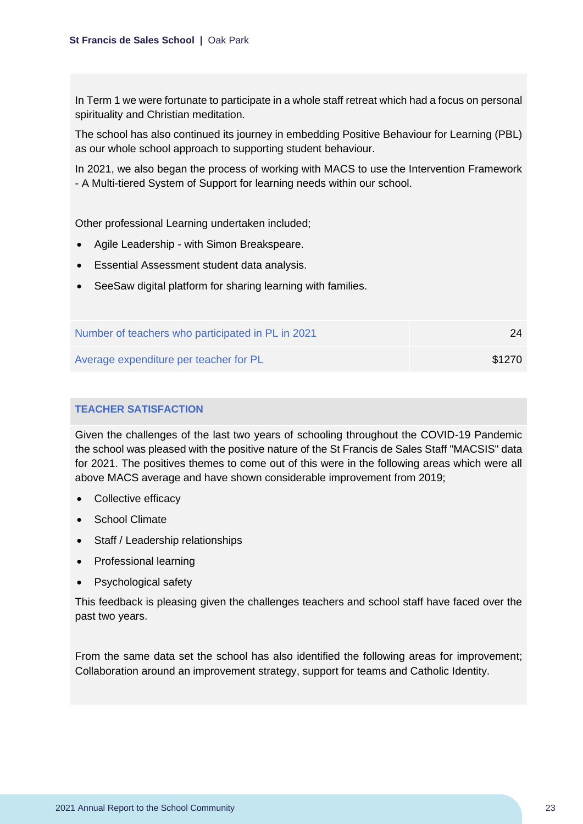In Term 1 we were fortunate to participate in a whole staff retreat which had a focus on personal spirituality and Christian meditation.

The school has also continued its journey in embedding Positive Behaviour for Learning (PBL) as our whole school approach to supporting student behaviour.

In 2021, we also began the process of working with MACS to use the Intervention Framework - A Multi-tiered System of Support for learning needs within our school.

Other professional Learning undertaken included;

- Agile Leadership with Simon Breakspeare.
- Essential Assessment student data analysis.
- SeeSaw digital platform for sharing learning with families.

| Number of teachers who participated in PL in 2021 | 24     |
|---------------------------------------------------|--------|
| Average expenditure per teacher for PL            | \$1270 |

## **TEACHER SATISFACTION**

Given the challenges of the last two years of schooling throughout the COVID-19 Pandemic the school was pleased with the positive nature of the St Francis de Sales Staff "MACSIS" data for 2021. The positives themes to come out of this were in the following areas which were all above MACS average and have shown considerable improvement from 2019;

- Collective efficacy
- **School Climate**
- Staff / Leadership relationships
- Professional learning
- Psychological safety

This feedback is pleasing given the challenges teachers and school staff have faced over the past two years.

From the same data set the school has also identified the following areas for improvement; Collaboration around an improvement strategy, support for teams and Catholic Identity.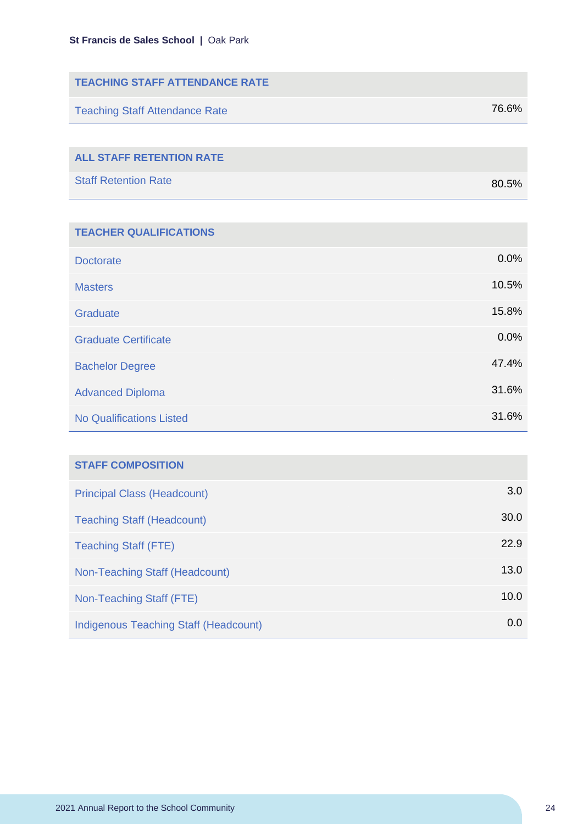| <b>TEACHING STAFF ATTENDANCE RATE</b> |       |
|---------------------------------------|-------|
| <b>Teaching Staff Attendance Rate</b> | 76.6% |
|                                       |       |
| <b>ALL STAFF RETENTION RATE</b>       |       |
| <b>Staff Retention Rate</b>           | 80.5% |
|                                       |       |

| <b>TEACHER QUALIFICATIONS</b>   |       |
|---------------------------------|-------|
|                                 |       |
| <b>Doctorate</b>                | 0.0%  |
| <b>Masters</b>                  | 10.5% |
| Graduate                        | 15.8% |
| <b>Graduate Certificate</b>     | 0.0%  |
| <b>Bachelor Degree</b>          | 47.4% |
| <b>Advanced Diploma</b>         | 31.6% |
| <b>No Qualifications Listed</b> | 31.6% |

| <b>STAFF COMPOSITION</b>              |      |
|---------------------------------------|------|
| <b>Principal Class (Headcount)</b>    | 3.0  |
| <b>Teaching Staff (Headcount)</b>     | 30.0 |
| <b>Teaching Staff (FTE)</b>           | 22.9 |
| Non-Teaching Staff (Headcount)        | 13.0 |
| Non-Teaching Staff (FTE)              | 10.0 |
| Indigenous Teaching Staff (Headcount) | 0.0  |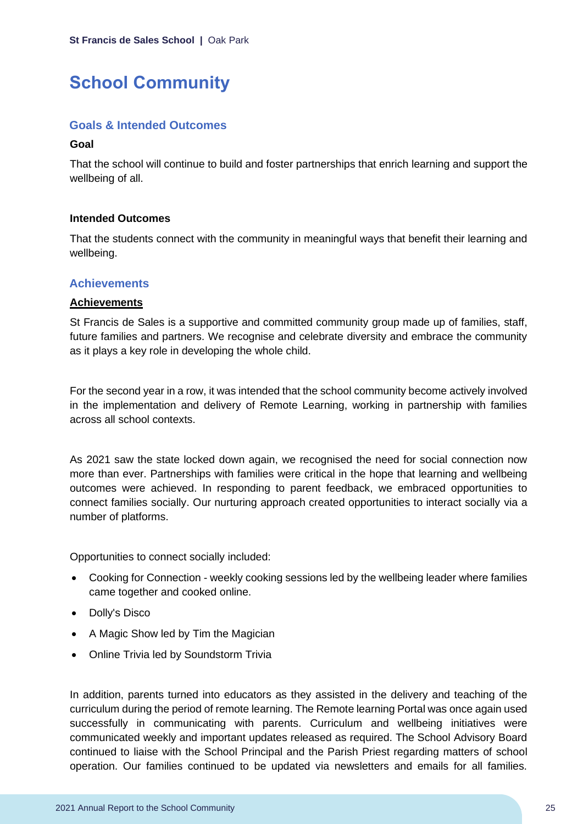## <span id="page-25-0"></span>**School Community**

## **Goals & Intended Outcomes**

### **Goal**

That the school will continue to build and foster partnerships that enrich learning and support the wellbeing of all.

### **Intended Outcomes**

That the students connect with the community in meaningful ways that benefit their learning and wellbeing.

## **Achievements**

### **Achievements**

St Francis de Sales is a supportive and committed community group made up of families, staff, future families and partners. We recognise and celebrate diversity and embrace the community as it plays a key role in developing the whole child.

For the second year in a row, it was intended that the school community become actively involved in the implementation and delivery of Remote Learning, working in partnership with families across all school contexts.

As 2021 saw the state locked down again, we recognised the need for social connection now more than ever. Partnerships with families were critical in the hope that learning and wellbeing outcomes were achieved. In responding to parent feedback, we embraced opportunities to connect families socially. Our nurturing approach created opportunities to interact socially via a number of platforms.

Opportunities to connect socially included:

- Cooking for Connection weekly cooking sessions led by the wellbeing leader where families came together and cooked online.
- Dolly's Disco
- A Magic Show led by Tim the Magician
- Online Trivia led by Soundstorm Trivia

In addition, parents turned into educators as they assisted in the delivery and teaching of the curriculum during the period of remote learning. The Remote learning Portal was once again used successfully in communicating with parents. Curriculum and wellbeing initiatives were communicated weekly and important updates released as required. The School Advisory Board continued to liaise with the School Principal and the Parish Priest regarding matters of school operation. Our families continued to be updated via newsletters and emails for all families.